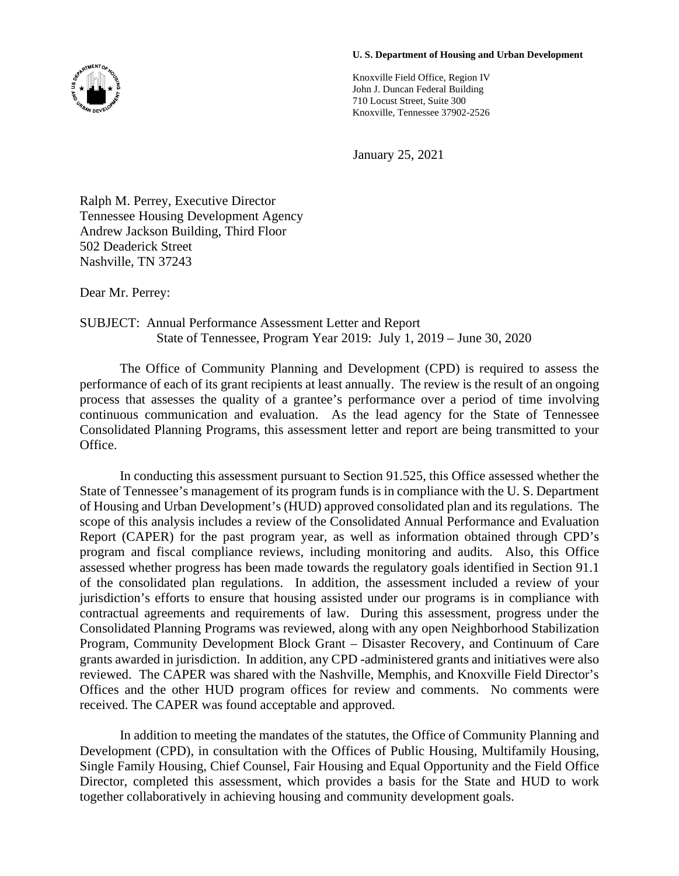## **U. S. Department of Housing and Urban Development**

Knoxville Field Office, Region IV John J. Duncan Federal Building 710 Locust Street, Suite 300 Knoxville, Tennessee 37902-2526

January 25, 2021

Ralph M. Perrey, Executive Director Tennessee Housing Development Agency Andrew Jackson Building, Third Floor 502 Deaderick Street Nashville, TN 37243

Dear Mr. Perrey:

## SUBJECT: Annual Performance Assessment Letter and Report State of Tennessee, Program Year 2019: July 1, 2019 – June 30, 2020

The Office of Community Planning and Development (CPD) is required to assess the performance of each of its grant recipients at least annually. The review is the result of an ongoing process that assesses the quality of a grantee's performance over a period of time involving continuous communication and evaluation. As the lead agency for the State of Tennessee Consolidated Planning Programs, this assessment letter and report are being transmitted to your Office.

In conducting this assessment pursuant to Section 91.525, this Office assessed whether the State of Tennessee's management of its program funds is in compliance with the U. S. Department of Housing and Urban Development's (HUD) approved consolidated plan and its regulations. The scope of this analysis includes a review of the Consolidated Annual Performance and Evaluation Report (CAPER) for the past program year, as well as information obtained through CPD's program and fiscal compliance reviews, including monitoring and audits. Also, this Office assessed whether progress has been made towards the regulatory goals identified in Section 91.1 of the consolidated plan regulations. In addition, the assessment included a review of your jurisdiction's efforts to ensure that housing assisted under our programs is in compliance with contractual agreements and requirements of law. During this assessment, progress under the Consolidated Planning Programs was reviewed, along with any open Neighborhood Stabilization Program, Community Development Block Grant – Disaster Recovery, and Continuum of Care grants awarded in jurisdiction. In addition, any CPD -administered grants and initiatives were also reviewed. The CAPER was shared with the Nashville, Memphis, and Knoxville Field Director's Offices and the other HUD program offices for review and comments. No comments were received. The CAPER was found acceptable and approved.

In addition to meeting the mandates of the statutes, the Office of Community Planning and Development (CPD), in consultation with the Offices of Public Housing, Multifamily Housing, Single Family Housing, Chief Counsel, Fair Housing and Equal Opportunity and the Field Office Director, completed this assessment, which provides a basis for the State and HUD to work together collaboratively in achieving housing and community development goals.

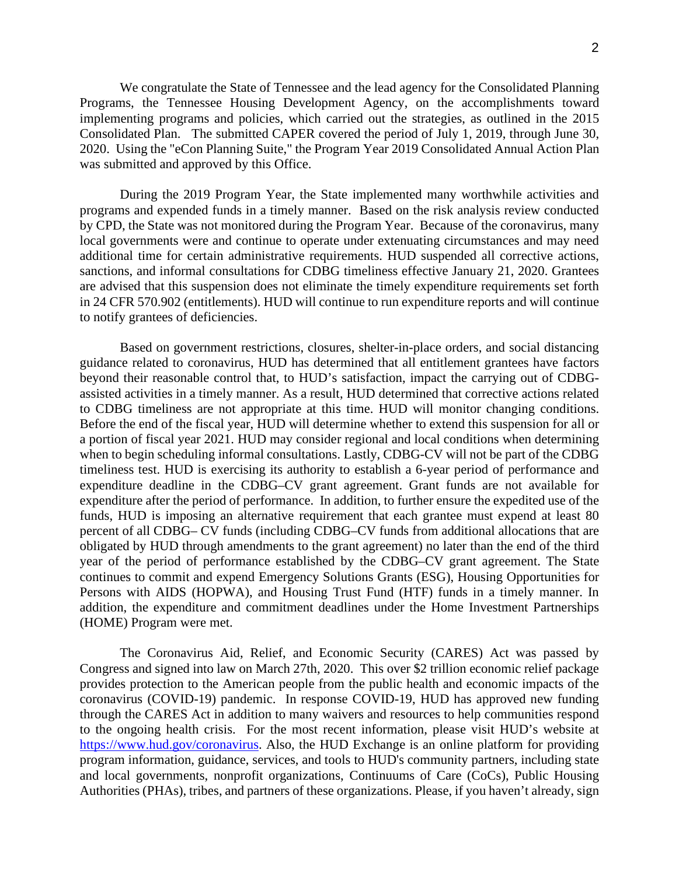We congratulate the State of Tennessee and the lead agency for the Consolidated Planning Programs, the Tennessee Housing Development Agency, on the accomplishments toward implementing programs and policies, which carried out the strategies, as outlined in the 2015 Consolidated Plan. The submitted CAPER covered the period of July 1, 2019, through June 30, 2020. Using the "eCon Planning Suite," the Program Year 2019 Consolidated Annual Action Plan was submitted and approved by this Office.

During the 2019 Program Year, the State implemented many worthwhile activities and programs and expended funds in a timely manner. Based on the risk analysis review conducted by CPD, the State was not monitored during the Program Year. Because of the coronavirus, many local governments were and continue to operate under extenuating circumstances and may need additional time for certain administrative requirements. HUD suspended all corrective actions, sanctions, and informal consultations for CDBG timeliness effective January 21, 2020. Grantees are advised that this suspension does not eliminate the timely expenditure requirements set forth in 24 CFR 570.902 (entitlements). HUD will continue to run expenditure reports and will continue to notify grantees of deficiencies.

Based on government restrictions, closures, shelter-in-place orders, and social distancing guidance related to coronavirus, HUD has determined that all entitlement grantees have factors beyond their reasonable control that, to HUD's satisfaction, impact the carrying out of CDBGassisted activities in a timely manner. As a result, HUD determined that corrective actions related to CDBG timeliness are not appropriate at this time. HUD will monitor changing conditions. Before the end of the fiscal year, HUD will determine whether to extend this suspension for all or a portion of fiscal year 2021. HUD may consider regional and local conditions when determining when to begin scheduling informal consultations. Lastly, CDBG-CV will not be part of the CDBG timeliness test. HUD is exercising its authority to establish a 6-year period of performance and expenditure deadline in the CDBG–CV grant agreement. Grant funds are not available for expenditure after the period of performance. In addition, to further ensure the expedited use of the funds, HUD is imposing an alternative requirement that each grantee must expend at least 80 percent of all CDBG– CV funds (including CDBG–CV funds from additional allocations that are obligated by HUD through amendments to the grant agreement) no later than the end of the third year of the period of performance established by the CDBG–CV grant agreement. The State continues to commit and expend Emergency Solutions Grants (ESG), Housing Opportunities for Persons with AIDS (HOPWA), and Housing Trust Fund (HTF) funds in a timely manner. In addition, the expenditure and commitment deadlines under the Home Investment Partnerships (HOME) Program were met.

The Coronavirus Aid, Relief, and Economic Security (CARES) Act was passed by Congress and signed into law on March 27th, 2020. This over \$2 trillion economic relief package provides protection to the American people from the public health and economic impacts of the coronavirus (COVID-19) pandemic. In response COVID-19, HUD has approved new funding through the CARES Act in addition to many waivers and resources to help communities respond to the ongoing health crisis. For the most recent information, please visit HUD's website at [https://www.hud.gov/coronavirus.](https://www.hud.gov/coronavirus) Also, the HUD Exchange is an online platform for providing program information, guidance, services, and tools to HUD's community partners, including state and local governments, nonprofit organizations, Continuums of Care (CoCs), Public Housing Authorities (PHAs), tribes, and partners of these organizations. Please, if you haven't already, sign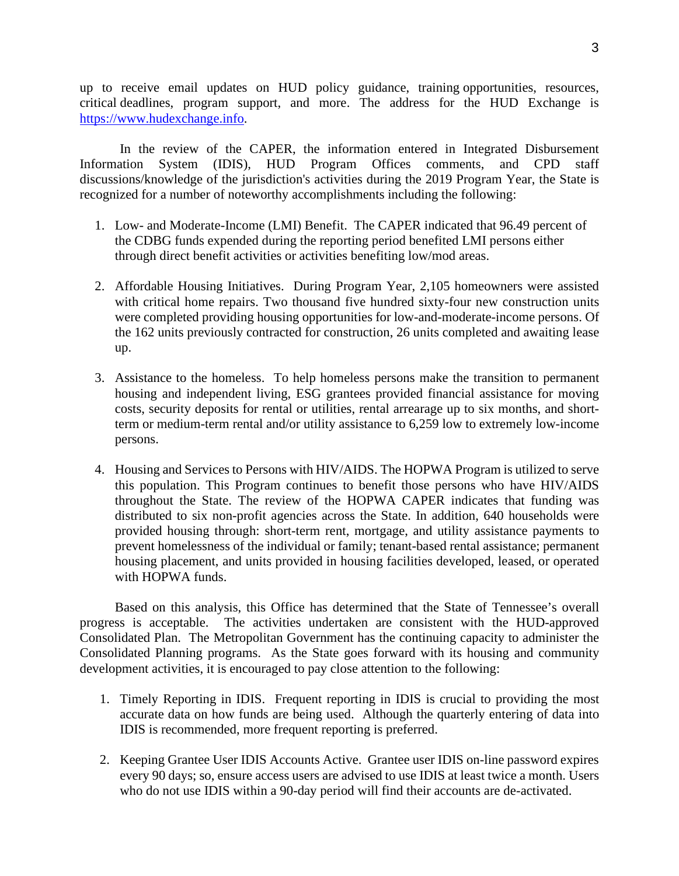up to receive email updates on HUD policy guidance, training opportunities, resources, critical deadlines, program support, and more. The address for the HUD Exchange is [https://www.hudexchange.info.](https://www.hudexchange.info/)

In the review of the CAPER, the information entered in Integrated Disbursement Information System (IDIS), HUD Program Offices comments, and CPD staff discussions/knowledge of the jurisdiction's activities during the 2019 Program Year, the State is recognized for a number of noteworthy accomplishments including the following:

- 1. Low- and Moderate-Income (LMI) Benefit. The CAPER indicated that 96.49 percent of the CDBG funds expended during the reporting period benefited LMI persons either through direct benefit activities or activities benefiting low/mod areas.
- 2. Affordable Housing Initiatives. During Program Year, 2,105 homeowners were assisted with critical home repairs. Two thousand five hundred sixty-four new construction units were completed providing housing opportunities for low-and-moderate-income persons. Of the 162 units previously contracted for construction, 26 units completed and awaiting lease up.
- 3. Assistance to the homeless. To help homeless persons make the transition to permanent housing and independent living, ESG grantees provided financial assistance for moving costs, security deposits for rental or utilities, rental arrearage up to six months, and shortterm or medium-term rental and/or utility assistance to 6,259 low to extremely low-income persons.
- 4. Housing and Services to Persons with HIV/AIDS. The HOPWA Program is utilized to serve this population. This Program continues to benefit those persons who have HIV/AIDS throughout the State. The review of the HOPWA CAPER indicates that funding was distributed to six non-profit agencies across the State. In addition, 640 households were provided housing through: short-term rent, mortgage, and utility assistance payments to prevent homelessness of the individual or family; tenant-based rental assistance; permanent housing placement, and units provided in housing facilities developed, leased, or operated with HOPWA funds.

Based on this analysis, this Office has determined that the State of Tennessee's overall progress is acceptable. The activities undertaken are consistent with the HUD-approved Consolidated Plan. The Metropolitan Government has the continuing capacity to administer the Consolidated Planning programs. As the State goes forward with its housing and community development activities, it is encouraged to pay close attention to the following:

- 1. Timely Reporting in IDIS. Frequent reporting in IDIS is crucial to providing the most accurate data on how funds are being used. Although the quarterly entering of data into IDIS is recommended, more frequent reporting is preferred.
- 2. Keeping Grantee User IDIS Accounts Active. Grantee user IDIS on-line password expires every 90 days; so, ensure access users are advised to use IDIS at least twice a month. Users who do not use IDIS within a 90-day period will find their accounts are de-activated.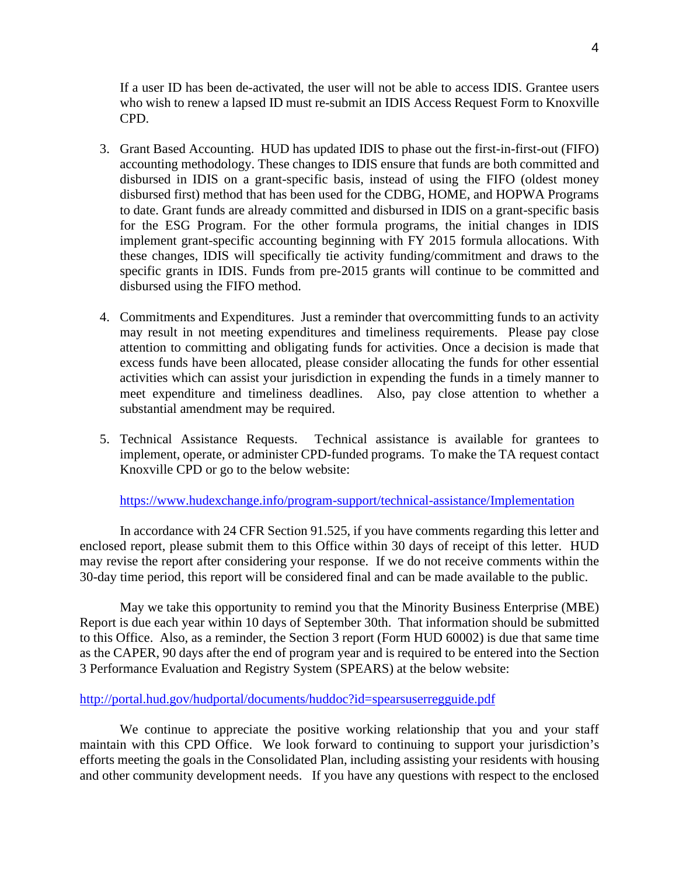If a user ID has been de-activated, the user will not be able to access IDIS. Grantee users who wish to renew a lapsed ID must re-submit an IDIS Access Request Form to Knoxville CPD.

- 3. Grant Based Accounting. HUD has updated IDIS to phase out the first-in-first-out (FIFO) accounting methodology. These changes to IDIS ensure that funds are both committed and disbursed in IDIS on a grant-specific basis, instead of using the FIFO (oldest money disbursed first) method that has been used for the CDBG, HOME, and HOPWA Programs to date. Grant funds are already committed and disbursed in IDIS on a grant-specific basis for the ESG Program. For the other formula programs, the initial changes in IDIS implement grant-specific accounting beginning with FY 2015 formula allocations. With these changes, IDIS will specifically tie activity funding/commitment and draws to the specific grants in IDIS. Funds from pre-2015 grants will continue to be committed and disbursed using the FIFO method.
- 4. Commitments and Expenditures. Just a reminder that overcommitting funds to an activity may result in not meeting expenditures and timeliness requirements. Please pay close attention to committing and obligating funds for activities. Once a decision is made that excess funds have been allocated, please consider allocating the funds for other essential activities which can assist your jurisdiction in expending the funds in a timely manner to meet expenditure and timeliness deadlines. Also, pay close attention to whether a substantial amendment may be required.
- 5. Technical Assistance Requests. Technical assistance is available for grantees to implement, operate, or administer CPD-funded programs. To make the TA request contact Knoxville CPD or go to the below website:

## <https://www.hudexchange.info/program-support/technical-assistance/Implementation>

In accordance with 24 CFR Section 91.525, if you have comments regarding this letter and enclosed report, please submit them to this Office within 30 days of receipt of this letter. HUD may revise the report after considering your response. If we do not receive comments within the 30-day time period, this report will be considered final and can be made available to the public.

May we take this opportunity to remind you that the Minority Business Enterprise (MBE) Report is due each year within 10 days of September 30th. That information should be submitted to this Office. Also, as a reminder, the Section 3 report (Form HUD 60002) is due that same time as the CAPER, 90 days after the end of program year and is required to be entered into the Section 3 Performance Evaluation and Registry System (SPEARS) at the below website:

## <http://portal.hud.gov/hudportal/documents/huddoc?id=spearsuserregguide.pdf>

We continue to appreciate the positive working relationship that you and your staff maintain with this CPD Office. We look forward to continuing to support your jurisdiction's efforts meeting the goals in the Consolidated Plan, including assisting your residents with housing and other community development needs. If you have any questions with respect to the enclosed